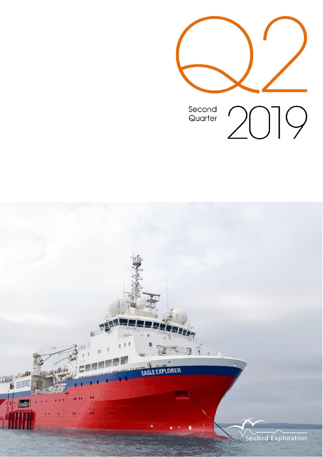

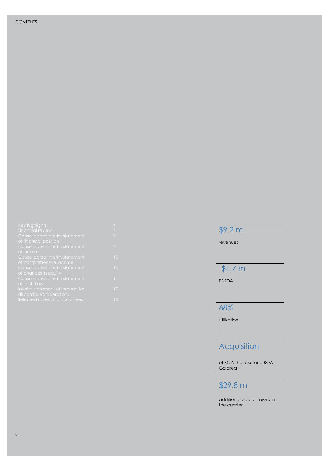| Key highlights                  |
|---------------------------------|
| Financial review                |
| Consolidated interim statement  |
| of financial position           |
| Consolidated interim statement  |
| of income                       |
| Consolidated interim statement  |
| of comprehensive income         |
| Consolidated interim statement  |
| of changes in equity            |
| Consolidated interim statement  |
| of cash flow                    |
| Interim statement of income for |
| discontinued operations         |
|                                 |

# \$9.2 m

revenues

# -\$1.7 m

EBITDA

# 68%

utilization

# **Acquisition**

of BOA Thalassa and BOA **Galatea** 

# \$29.8 m

additional capital raised in the quarter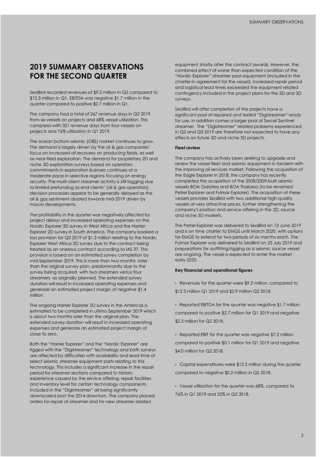# **2019 SUMMARY OBSERVATIONS FOR THE SECOND QUARTER**

SeaBird recorded revenues of \$9.2 million in Q2 compared to \$12.3 million in Q1. EBITDA was negative \$1.7 million in the quarter compared to positive \$2.7 million in Q1.

The company had a total of 267 revenue days in Q2 2019 from six vessels on projects and 68% vessel utilization. This compares with 321 revenue days from four vessels on projects and 76% utilization in Q1 2019.

The ocean bottom seismic (OBS) market continues to grow. The demand is largely driven by the oil & gas companies' focus on increased oil recovery on producing fields, as well as near-field exploration. The demand for proprietary 2D and niche 3D exploration surveys based on operators commitments in exploration licenses continues at a moderate pace in selective regions focusing on energy security. The multi-client streamer activity is still lagging due to limited prefunding as end clients' (oil & gas operators) decision processes appear to be generally delayed as the oil & gas sentiment abated towards mid-2019 driven by macro developments.

The profitability in the quarter was negatively affected by project delays and increased operating expenses on the Nordic Explorer 3D survey in West Africa and the Harrier Explorer 2D survey in South America. The company booked a loss provision for Q3 2019 of \$1.3 million relating to the Nordic Explorer West Africa 3D survey due to the contract being treated as an onerous contract according to IAS 37. This provision is based on an estimated survey completion by mid-September 2019. This is more than two months later than the original survey plan, predominantly due to the survey being acquired with two streamers versus four streamers as originally planned. The extended survey duration will result in increased operating expenses and generate an estimated project margin of negative \$1.4 million.

The ongoing Harrier Explorer 2D survey in the Americas is estimated to be completed in ultimo September 2019 which is about two months later than the original plan. The extended survey duration will result in increased operating expenses and generate an estimated project margin of close to zero.

Both the "Harrier Explorer" and the "Nordic Explorer" are rigged with the "Digistreamer" technology and both surveys are affected by difficulties with availability and lead-time of select seismic streamer equipment parts relating to this technology. This includes a significant increase in the repair period for streamer sections compared to historic experience caused by the service offering, repair facilities and inventory level for certain technology components included in the "Digistreamer" all being significantly downscaled post the 2014 downturn. The company placed orders for repair of streamer and for new streamer related

equipment shortly after the contract awards. However, the combined effect of worse than expected condition of the "Nordic Explorer" streamer pool equipment (included in the charter-in agreement for the vessel), increased repair period and logistical lead times exceeded the equipment related contingency included in the project plans for the 2D and 3D surveys.

SeaBird will after completion of the projects have a significant pool of repaired and tested "Digistreamer" ready for use. In addition comes a larger pool of Sercel Sentinel streamer. The "Digistreamer" related problems experienced in Q2 and Q3 2019 are therefore not expected to have any effects on future 2D and niche 3D projects.

## **Fleet review**

The company has actively been seeking to upgrade and renew the vessel fleet and seismic equipment in tandem with the improving oil services market. Following the acquisition of the Eagle Explorer in 2018, the company has recently completed the acquisition of the 2008/2009-built seismic vessels BOA Galatea and BOA Thalassa (to be renamed Petrel Explorer and Fulmar Explorer). The acquisition of these vessels provides SeaBird with two additional high-quality vessels at very attractive prices, further strengthening the company's position and service offering in the 2D, source and niche 3D markets.

The Petrel Explorer was delivered to SeaBird on 13 June 2019 and is on time charter to EMGS until March 2020, with options for EMGS to extend for two periods of six months each. The Fulmar Explorer was delivered to SeaBird on 25 July 2019 and preparations for outfitting/rigging as a seismic source vessel are ongoing. The vessel is expected to enter the market early 2020.

## **Key financial and operational figures**

- Revenues for the quarter were \$9.2 million, compared to \$12.3 million Q1 2019 and \$2.9 million Q2 2018.
- Reported EBITDA for the quarter was negative \$1.7 million compared to positive \$2.7 million for Q1 2019 and negative \$2.3 million for Q2 2018.
- Reported EBIT for the quarter was negative \$7.2 million compared to positive \$0.1 million for Q1 2019 and negative \$4.0 million for Q2 2018.
- Capital expenditures were \$12.5 million during the quarter compared to negative \$0.2 million in Q2 2018.
- Vessel utilization for the quarter was 68%, compared to 76% in Q1 2019 and 22% in Q2 2018.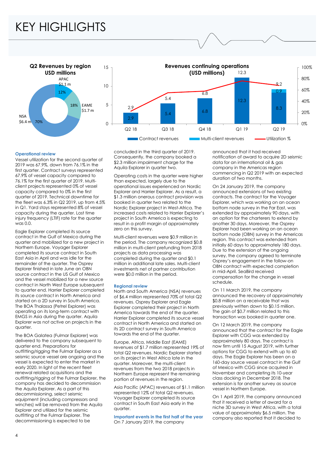# KEY HIGHLIGHTS





#### **Operational review**

Vessel utilization for the second quarter of 2019 was 67.9%, down from 76.1% in the first quarter. Contract surveys represented 67.9% of vessel capacity compared to 76.1% for the first quarter of 2019. Multiclient projects represented 0% of vessel capacity compared to 0% in the first quarter of 2019. Technical downtime for the fleet was 6.3% in Q2 2019, up from 4.5% in Q1. Yard stays represented 8% of vessel capacity during the quarter. Lost time injury frequency (LTIF) rate for the quarter was 0.0.

Eagle Explorer completed its source contract in the Gulf of Mexico during the quarter and mobilized for a new project in Northern Europe. Voyager Explorer completed its source contract in South East Asia in April and was idle for the remainder of the quarter. The Osprey Explorer finished in late June an OBN source contract in the US Gulf of Mexico and the vessel mobilized for a new source contract in North West Europe subsequent to quarter end. Harrier Explorer completed its source contract in North America and started on a 2D survey in South America. The BOA Thalassa (Petrel Explorer) was operating on its long-term contract with EMGS in Asia during the quarter. Aquila Explorer was not active on projects in the quarter.

The BOA Galatea (Fulmar Explorer) was delivered to the company subsequent to quarter end. Preparations for outfitting/rigging the Fulmar Explorer as a seismic source vessel are ongoing and the vessel is expected to enter the market in early 2020. In light of the recent fleet renewal related acquisitions and the outfitting/rigging of the Fulmar Explorer, the company has decided to decommission the Aquila Explorer. As a part of this decommissioning, select seismic equipment (including compressors and winches) will be removed from the Aquila Explorer and utilized for the seismic outfitting of the Fulmar Explorer. The decommissioning is expected to be

concluded in the third quarter of 2019. Consequently, the company booked a \$2.3 million impairment charge for the Aquila Explorer in quarter two.

Operating costs in the quarter were higher than expected, largely due to the operational issues experienced on Nordic Explorer and Harrier Explorer. As a result, a \$1.3 million onerous contract provision was booked in quarter two related to the Nordic Explorer project in West-Africa. The increased costs related to Harrier Explorer's project in South America is expecting to result in a profit margin of approximately zero on this survey.

Multi-client revenues were \$0.9 million in the period. The company recognized \$0.8 million in multi-client prefunding from 2018 projects as data processing was completed during the quarter and \$0.1 million in additional late sales. Multi-client investments net of partner contribution were \$0.0 million in the period.

#### **Regional review**

North and South America (NSA) revenues of \$6.4 million represented 70% of total Q2 revenues. Osprey Explorer and Eagle Explorer completed their project in North America towards the end of the quarter. Harrier Explorer completed its source vessel contract in North America and started on its 2D contract survey in South America towards the end of the quarter.

Europe, Africa, Middle East (EAME) revenues of \$1.7 million represented 19% of total Q2 revenues. Nordic Explorer started on its project in West Africa late in the quarter. Moreover, the multi-client revenues from the two 2018 projects in Northern Europe represent the remaining portion of revenues in the region.

Asia Pacific (APAC) revenues of \$1.1 million represented 12% of total Q2 revenues. Voyager Explorer completed its source contract in South East Asia early in the quarter.

**Important events in the first half of the year**  On 7 January 2019, the company

announced that it had received notification of award to acquire 2D seismic data for an international oil & gas company in the Americas region commencing in Q2 2019 with an expected duration of two months.

On 24 January 2019, the company announced extensions of two existing contracts. The contract for the Voyager Explorer, which was working on an ocean bottom node survey in the Far East, was extended by approximately 90 days, with an option for the charterers to extend by another 30 days. Moreover, the Osprey Explorer had been working on an ocean bottom node (OBN) survey in the Americas region. This contract was extended from initially 60 days to approximately 180 days. Due to the extension of the ongoing survey, the company agreed to terminate Osprey's engagement in the follow-on OBN contract with expected completion in mid-April. SeaBird received compensation for the change in vessel schedule.

On 11 March 2019, the company announced the recovery of approximately \$0.8 million on a receivable that was previously written down to \$0.15 million. The gain of \$0.7 million related to this transaction was booked in quarter one.

On 12 March 2019, the company announced that the contract for the Eagle Explorer with CGG was extended by approximately 80 days. The contract is now firm until 15 August 2019, with further options for CGG to extend with up to 60 days. The Eagle Explorer has been on a 160-day source vessel contract in the Gulf of Mexico with CGG since acquired in November and completing its 10-year class docking in December 2018. The extension is for another survey as source vessel in Northern Europe.

On 1 April 2019, the company announced that it received a letter of award for a niche 3D survey in West Africa, with a total value of approximately \$6.5 million. The company also reported that it decided to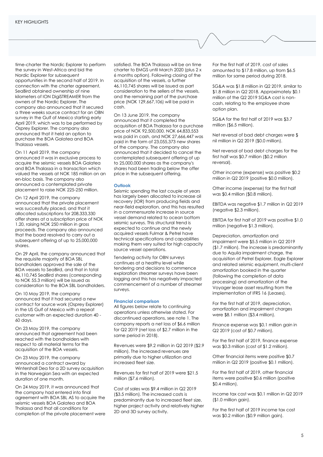time-charter the Nordic Explorer to perform the survey in West-Africa and bid the Nordic Explorer for subsequent opportunities in the second half of 2019. In connection with the charter agreement, SeaBird obtained ownership of nine kilometers of ION DigiSTREAMER from the owners of the Nordic Explorer. The company also announced that it secured a three weeks source contract for an OBN survey in the Gulf of Mexico starting early April 2019, which was to be performed by Osprey Explorer. The company also announced that it held an option to purchase the BOA Galatea and BOA Thalassa vessels.

On 11 April 2019, the company announced it was in exclusive process to acquire the seismic vessels BOA Galatea and BOA Thalassa in a transaction which valued the vessels at NOK 185 million on an en-bloc basis. The company also announced a contemplated private placement to raise NOK 225-250 million.

On 12 April 2019, the company announced that the private placement was successfully placed, and that it allocated subscriptions for 208,333,330 offer shares at a subscription price of NOK 1.20, raising NOK 250 million in gross proceeds. The company also announced that the board resolved to carry out a subsequent offering of up to 25,000,000 shares.

On 29 April, the company announced that the requisite majority of BOA SBL bondholders approved the sale of the BOA vessels to SeaBird, and that in total 46,110,745 SeaBird shares (corresponding to NOK 55.3 million) will be issued as consideration to the BOA SBL bondholders.

On 10 May 2019, the company announced that it had secured a new contract for source work (Osprey Explorer) in the US Gulf of Mexico with a repeat customer with an expected duration 40 - 60 days.

On 23 May 2019, the company announced that agreement had been reached with the bondholders with respect to all material terms for the acquisition of the BOA vessels.

On 23 May 2019, the company announced a contract award by Wintershall Dea for a 2D survey acquisition in the Norwegian Sea with an expected duration of one month.

On 24 May 2019, it was announced that the company had entered into final agreement with BOA SBL AS to acquire the seismic vessels BOA Galatea and BOA Thalassa and that all conditions for completion of the private placement were

satisfied. The BOA Thalassa will be on time charter to EMGS until March 2020 (plus 2 x 6 months option). Following closing of the acquisition of the vessels, a further 46,110,745 shares will be issued as part consideration to the sellers of the vessels, and the remaining part of the purchase price (NOK 129,667,106) will be paid in cash.

On 13 June 2019, the company announced that it completed the acquisition of BOA Thalassa for a purchase price of NOK 92,500,000. NOK 64,833,553 was paid in cash, and NOK 27,666,447 was paid in the form of 23,055,373 new shares of the company. The company also announced that it decided to cancel the contemplated subsequent offering of up to 25,000,000 shares as the company's shares had been trading below the offer price in the subsequent offering.

#### **Outlook**

Seismic spending the last couple of years has largely been allocated to increase oil recovery (IOR) from producing fields and near-field exploration, and this has resulted in a commensurate increase in source vessel demand related to ocean bottom seismic surveys. This structural trend is expected to continue and the newly acquired vessels Fulmar & Petrel have technical specifications and capabilities making them very suited for high capacity source vessel operations.

Tendering activity for OBN surveys continues at a healthy level while tendering and decisions to commence exploration streamer surveys have been lagging and this has negatively impacted commencement of a number of streamer surveys.

#### **Financial comparison**

All figures below relate to continuing operations unless otherwise stated. For discontinued operations, see note 1. The company reports a net loss of \$6.6 million for Q2 2019 (net loss of \$2.7 million in the same period in 2018).

Revenues were \$9.2 million in Q2 2019 (\$2.9 million). The increased revenues are primarily due to higher utilization and increased fleet size.

Revenues for first half of 2019 were \$21.5 million (\$7.6 million).

Cost of sales was \$9.4 million in Q2 2019 (\$3.5 million). The increased costs is predominantly due to increased fleet size, higher project activity and relatively higher 2D and 3D survey activity.

For the first half of 2019, cost of sales amounted to \$17.8 million, up from \$6.5 million for same period during 2018.

SG&A was \$1.8 million in Q2 2019, similar to \$1.8 million in Q2 2018. Approximately \$0.1 million of the Q2 2019 SG&A cost is noncash, relating to the employee share option plan.

SG&A for the first half of 2019 was \$3.7 million (\$6.5 million).

Net reversal of bad debt charges were \$ nil million in Q2 2019 (\$0.0 million).

Net reversal of bad debt charges for the first half was \$0.7 million (\$0.2 million reversal).

Other income (expense) was positive \$0.2 million in Q2 2019 (positive \$0.0 million).

Other income (expense) for the first half was \$0.4 million (\$0.8 million).

EBITDA was negative \$1.7 million in Q2 2019 (negative \$2.3 million).

EBITDA for first half of 2019 was positive \$1.0 million (negative \$1.3 million).

Depreciation, amortization and impairment were \$5.5 million in Q2 2019 (\$1.7 million). The increase is predominantly due to Aquila impairment charge, the acquisition of Petrel Explorer, Eagle Explorer and related seismic equipment, multi-client amortization booked in the quarter (following the completion of data processing) and amortization of the Voyager lease asset resulting from the implementation of IFRS 16 (Leases).

For the first half of 2019, depreciation, amortization and impairment charges were \$8.1 million (\$3.4 million).

Finance expense was \$0.1 million gain in Q2 2019 (cost of \$0.7 million).

For the first half of 2019, finance expense was \$0.3 million (cost of \$1.2 million).

Other financial items were positive \$0.7 million in Q2 2019 (positive \$0.1 million).

For the first half of 2019, other financial items were positive \$0.6 million (positive \$0.4 million).

Income tax cost was \$0.1 million in Q2 2019 (\$1.0 million gain).

For the first half of 2019 income tax cost was \$0.2 million (\$0.9 million gain).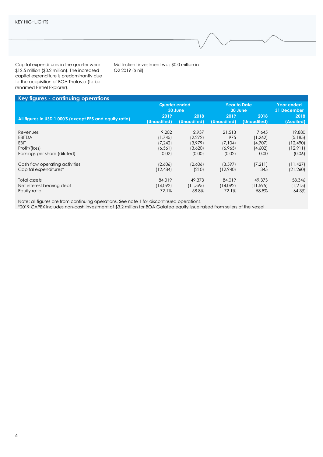Capital expenditures in the quarter were \$12.5 million (\$0.2 million). The increased capital expenditure is predominantly due to the acquisition of BOA Thalassa (to be renamed Petrel Explorer).

Multi-client investment was \$0.0 million in Q2 2019 (\$ nil).

| Key figures - continuing operations                      |                                 |                     |                                |                     |                           |  |
|----------------------------------------------------------|---------------------------------|---------------------|--------------------------------|---------------------|---------------------------|--|
|                                                          | <b>Quarter ended</b><br>30 June |                     | <b>Year to Date</b><br>30 June |                     | Year ended<br>31 December |  |
| All figures in USD 1 000'S (except EPS and equity ratio) | 2019<br>(Unaudited)             | 2018<br>(Unaudited) | 2019<br>(Unaudited)            | 2018<br>(Unaudited) | 2018<br>(Audited)         |  |
| <b>Revenues</b>                                          | 9.202                           | 2.937               | 21,513                         | 7.645               | 19,880                    |  |
| <b>EBITDA</b>                                            | (1,745)                         | (2,272)             | 975                            | (1,262)             | (5, 185)                  |  |
| EBIT                                                     | (7, 242)                        | (3,979)             | (7,104)                        | (4,707)             | (12, 490)                 |  |
| Profit/(loss)                                            | (6, 561)                        | (3,620)             | (6,965)                        | (4,602)             | (12,911)                  |  |
| Earnings per share (diluted)                             | (0.02)                          | (0.00)              | (0.02)                         | 0.00                | (0.06)                    |  |
| Cash flow operating activities                           | (2,606)                         | (2,606)             | (3, 597)                       | (7,211)             | (11, 427)                 |  |
| Capital expenditures*                                    | (12, 484)                       | (210)               | (12,940)                       | 345                 | (21, 260)                 |  |
| Total assets                                             | 84,019                          | 49,373              | 84,019                         | 49,373              | 58,346                    |  |
| Net interest bearing debt                                | (14,092)                        | (11, 595)           | (14,092)                       | (11, 595)           | (1,215)                   |  |
| Equity ratio                                             | 72.1%                           | 58.8%               | 72.1%                          | 58.8%               | 64.3%                     |  |

Note: all figures are from continuing operations. See note 1 for discontinued operations. \*2019 CAPEX includes non-cash investment of \$3.2 million for BOA Galatea equity issue raised from sellers of the vessel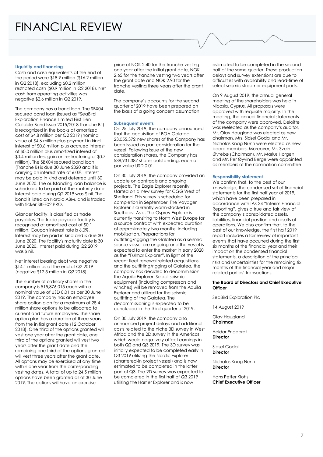# FINANCIAL REVIEW

#### **Liquidity and financing**

Cash and cash equivalents at the end of the period were \$18.9 million (\$16.2 million in Q2 2018), excluding \$0.2 million restricted cash (\$0.9 million in Q2 2018). Net cash from operating activities was negative \$2.6 million in Q2 2019.

The company has a bond loan. The SBX04 secured bond loan (issued as "SeaBird Exploration Finance Limited First Lien Callable Bond Issue 2015/2018 Tranche B") is recognized in the books at amortized cost of \$4.8 million per Q2 2019 (nominal value of \$4.6 million plus payment in kind interest of \$0.6 million plus accrued interest of \$0.0 million plus amortized interest of \$0.4 million less gain on restructuring of \$0.7 million). The SBX04 secured bond loan (Tranche B) is due 30 June 2020 and it is carrying an interest rate of 6.0%. Interest may be paid in kind and deferred until 30 June 2020. The outstanding loan balance is scheduled to be paid at the maturity date. Interest paid during Q2 2019 was \$ nil. The bond is listed on Nordic ABM, and is traded with ticker SBEF02 PRO.

Glander facility, is classified as trade payables. The trade payable facility is recognized at amortized cost of \$0.1 million. Coupon interest rate is 6.0%. Interest may be paid in kind and is due 30 June 2020. The facility's maturity date is 30 June 2020. Interest paid during Q2 2019 was \$ nil.

Net interest bearing debt was negative \$14.1 million as at the end of Q2 2019 (negative \$12.5 million in Q2 2018).

The number of ordinary shares in the company is 515,876,015 each with a nominal value of USD 0.01 as per 30 June 2019. The company has an employee share option plan for a maximum of 28.4 million share options to be allocated to current and future employees. The share option plan has a duration of three years from the initial grant date (12 October 2018). One third of the options granted will vest one year after the grant date, one third of the options granted will vest two years after the grant date and the remaining one third of the options granted will vest three years after the grant date. All options may be exercised at any time within one year from the corresponding vesting dates. A total of up to 24.5 million options have been granted as of 30 June 2019. The options will have an exercise

price of NOK 2.40 for the tranche vesting one year after the initial grant date, NOK 2.65 for the tranche vesting two years after the grant date and NOK 2.90 for the tranche vesting three years after the grant date.

The company's accounts for the second quarter of 2019 have been prepared on the basis of a going concern assumption.

## **Subsequent events**

On 25 July 2019, the company announced that the acquisition of BOA Galatea. 23,055,372 new shares of the Company has been issued as part consideration for the vessel. Following issue of the new consideration shares, the Company has 538,931,387 shares outstanding, each of par value USD 0.01.

On 30 July 2019, the company provided an update on contracts and ongoing projects. The Eagle Explorer recently started on a new survey for CGG West of Shetland. This survey is scheduled for completion in September. The Voyager Explorer is currently warm-stacked in Southeast Asia. The Osprey Explorer is currently transiting to North West Europe for a source contract with expected duration of approximately two months, including mobilization. Preparations for outfitting/rigging the Galatea as a seismic source vessel are ongoing and the vessel is expected to enter the market in early 2020 as the "Fulmar Explorer". In light of the recent fleet renewal related acquisitions and the outfitting/rigging of Galatea, the company has decided to decommission the Aquila Explorer. Select seismic equipment (including compressors and winches) will be removed from the Aquila Explorer and utilized for the seismic outfitting of the Galatea. The decommissioning is expected to be concluded in the third quarter of 2019.

On 30 July 2019, the company also announced project delays and additional costs related to the niche 3D survey in West Africa and the 2D survey in the Americas, which would negatively affect earnings in both Q2 and Q3 2019. The 3D survey was initially expected to be completed early in Q3 2019 utilizing the Nordic Explorer (chartered-in project vessel) and is now estimated to be completed in the latter part of Q3. The 2D survey was expected to be completed in the first half of Q3 2019 utilizing the Harrier Explorer and is now

estimated to be completed in the second half of the same quarter. These production delays and survey extensions are due to difficulties with availability and lead-time of select seismic streamer equipment parts.

On 9 August 2019, the annual general meeting of the shareholders was held in Nicosia, Cyprus. All proposals were approved with requisite majority. In the meeting, the annual financial statements of the company were approved, Deloitte was reelected as the company's auditor, Mr. Olav Haugland was elected as new chairman, Mrs. Sidsel Godal and Mr. Nicholas Knag Nunn were elected as new board members. Moreover, Mr. Svein Øvrebø (Chairman), Mr. Marius Horgen and Mr. Per Øyvind Berge were appointed as members of the nomination committee.

#### **Responsibility statement**

We confirm that, to the best of our knowledge, the condensed set of financial statements for the first half year of 2019, which have been prepared in accordance with IAS 34 "Interim Financial Reporting", gives a true and fair view of the company's consolidated assets, liabilities, financial position and results of operations. We also confirm that, to the best of our knowledge, the first half 2019 report includes a fair review of important events that have occurred during the first six months of the financial year and their impact on the condensed financial statements, a description of the principal risks and uncertainties for the remaining six months of the financial year and major related parties' transactions.

#### **The Board of Directors and Chief Executive Officer**

SeaBird Exploration Plc

14 August 2019

Olav Haugland **Chairman** 

Heidar Engebret **Director** 

Sidsel Godal **Director** 

Nicholas Knag Nunn **Director** 

Hans Petter Klohs **Chief Executive Officer**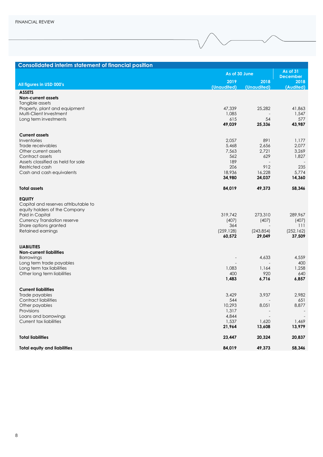| <b>Consolidated interim statement of financial position</b> |                     |                     |                             |
|-------------------------------------------------------------|---------------------|---------------------|-----------------------------|
|                                                             | As of 30 June       |                     | As of 31<br><b>December</b> |
| All figures in USD 000's                                    | 2019<br>(Unaudited) | 2018<br>(Unaudited) | 2018<br>(Audited)           |
| <b>ASSETS</b>                                               |                     |                     |                             |
| Non-current assets                                          |                     |                     |                             |
| Tangible assets                                             |                     |                     |                             |
| Property, plant and equipment                               | 47,339              | 25,282              | 41,863                      |
| Multi-Client Investment                                     | 1,085               | 54                  | 1,547                       |
| Long term investments                                       | 615<br>49,039       | 25,336              | 577<br>43,987               |
|                                                             |                     |                     |                             |
| <b>Current assets</b>                                       |                     |                     |                             |
| Inventories                                                 | 2,057               | 891                 | 1,177                       |
| Trade receivables                                           | 5,468               | 2,656               | 2,077                       |
| Other current assets                                        | 7,563               | 2,721               | 3,269                       |
| Contract assets                                             | 562                 | 629                 | 1,827                       |
| Assets classified as held for sale                          | 189                 |                     |                             |
| Restricted cash                                             | 206                 | 912                 | 235                         |
| Cash and cash equivalents                                   | 18,936<br>34,980    | 16,228<br>24,037    | 5,774<br>14,360             |
|                                                             |                     |                     |                             |
| <b>Total assets</b>                                         | 84,019              | 49,373              | 58,346                      |
| <b>EQUITY</b>                                               |                     |                     |                             |
| Capital and reserves attributable to                        |                     |                     |                             |
| equity holders of the Company                               |                     |                     |                             |
| Paid in Capital                                             | 319,742             | 273,310             | 289,967                     |
| <b>Currency Translation reserve</b>                         | (407)               | (407)               | (407)                       |
| Share options granted                                       | 364                 |                     | 111                         |
| Retained earnings                                           | (259, 128)          | (243, 854)          | (252, 162)                  |
|                                                             | 60,572              | 29,049              | 37,509                      |
| <b>LIABILITIES</b>                                          |                     |                     |                             |
| <b>Non-current liabilities</b>                              |                     |                     |                             |
| <b>Borrowings</b>                                           |                     | 4,633               | 4,559                       |
| Long term trade payables                                    |                     |                     | 400                         |
| Long term tax liabilities                                   | 1,083               | 1,164               | 1,258                       |
| Other long term liabilities                                 | 400<br>1,483        | 920<br>6,716        | 640<br>6,857                |
|                                                             |                     |                     |                             |
| <b>Current liabilities</b>                                  |                     |                     |                             |
| Trade payables                                              | 3,429               | 3,937               | 2,982                       |
| Contract liabilities                                        | 544                 |                     | 651                         |
| Other payables                                              | 10,293              | 8,051               | 8,877                       |
| Provisions                                                  | 1,317               |                     |                             |
| Loans and borrowings                                        | 4,844               |                     |                             |
| <b>Current tax liabilities</b>                              | 1,537               | 1,620               | 1,469                       |
|                                                             | 21,964              | 13,608              | 13,979                      |
| <b>Total liabilities</b>                                    | 23,447              | 20,324              | 20,837                      |
| <b>Total equity and liabilities</b>                         | 84,019              | 49,373              | 58,346                      |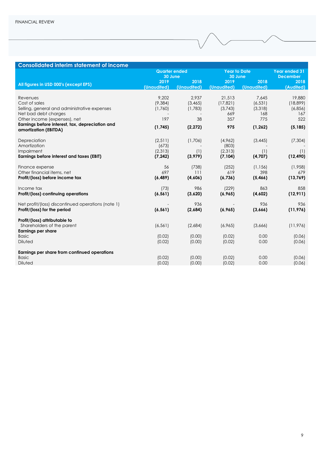| <b>Consolidated interim statement of income</b>    |                      |             |                     |             |               |
|----------------------------------------------------|----------------------|-------------|---------------------|-------------|---------------|
|                                                    | <b>Quarter ended</b> |             | <b>Year to Date</b> |             | Year ended 31 |
|                                                    |                      | 30 June     |                     | 30 June     |               |
| All figures in USD 000's (except EPS)              | 2019                 | 2018        | 2019                | 2018        | 2018          |
|                                                    | (Unaudited)          | (Unaudited) | (Unaudited)         | (Unaudited) | (Audited)     |
|                                                    |                      |             |                     |             |               |
| Revenues                                           | 9.202                | 2,937       | 21,513              | 7,645       | 19,880        |
| Cost of sales                                      | (9, 384)             | (3, 465)    | (17, 821)           | (6, 531)    | (18, 899)     |
| Selling, general and administrative expenses       | (1,760)              | (1,783)     | (3,743)             | (3, 318)    | (6,856)       |
| Net bad debt charges                               |                      |             | 669                 | 168         | 167           |
| Other income (expenses), net                       | 197                  | 38          | 357                 | 775         | 522           |
| Earnings before interest, tax, depreciation and    | (1,745)              | (2, 272)    | 975                 | (1, 262)    | (5, 185)      |
| amortization (EBITDA)                              |                      |             |                     |             |               |
| Depreciation                                       | (2, 511)             | (1,706)     | (4,962)             | (3, 445)    | (7, 304)      |
| Amortization                                       | (673)                |             | (803)               |             |               |
| Impairment                                         | (2,313)              | (1)         | (2,313)             | (1)         | (1)           |
| Earnings before interest and taxes (EBIT)          | (7, 242)             | (3,979)     | (7, 104)            | (4,707)     | (12, 490)     |
| Finance expense                                    | 56                   | (738)       | (252)               | (1, 156)    | (1,958)       |
| Other financial items, net                         | 697                  | 111         | 619                 | 398         | 679           |
| Profit/(loss) before income tax                    | (6, 489)             | (4,606)     | (6, 736)            | (5,466)     | (13,769)      |
| Income tax                                         | (73)                 | 986         | (229)               | 863         | 858           |
| Profit/(loss) continuing operations                | (6, 561)             | (3,620)     | (6,965)             | (4,602)     | (12, 911)     |
| Net profit/(loss) discontinued operations (note 1) |                      | 936         |                     | 936         | 936           |
| Profit/(loss) for the period                       | (6, 561)             | (2,684)     | (6,965)             | (3,666)     | (11, 976)     |
| Profit/(loss) attributable to                      |                      |             |                     |             |               |
| Shareholders of the parent                         | (6, 561)             | (2,684)     | (6,965)             | (3,666)     | (11, 976)     |
| Earnings per share<br><b>Basic</b>                 | (0.02)               | (0.00)      | (0.02)              | 0.00        | (0.06)        |
| <b>Diluted</b>                                     | (0.02)               | (0.00)      | (0.02)              | 0.00        | (0.06)        |
|                                                    |                      |             |                     |             |               |
| Earnings per share from continued operations       |                      |             |                     |             |               |
| <b>Basic</b>                                       | (0.02)               | (0.00)      | (0.02)              | 0.00        | (0.06)        |
| <b>Diluted</b>                                     | (0.02)               | (0.00)      | (0.02)              | 0.00        | (0.06)        |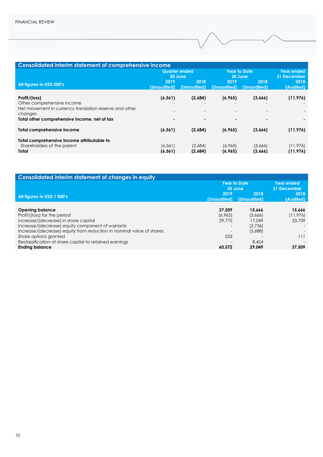| Consolidated interim statement of comprehensive income                                                           |                                                            |                                     |                                     |                     |                           |
|------------------------------------------------------------------------------------------------------------------|------------------------------------------------------------|-------------------------------------|-------------------------------------|---------------------|---------------------------|
|                                                                                                                  | Quarter ended<br><b>Year to Date</b><br>30 June<br>30 June |                                     |                                     |                     | Year ended<br>31 December |
| All figures in USD 000's                                                                                         | 2019<br>(Unaudited)                                        | 2018<br>(Unaudited)                 | 2019<br>(Unaudited)                 | 2018<br>(Unaudited) | 2018<br>(Audited)         |
| Profit/(loss)<br>Other comprehensive income<br>Net movement in currency translation reserve and other<br>changes | (6, 561)<br>$\qquad \qquad$                                | (2,684)<br>$\overline{\phantom{a}}$ | (6,965)<br>$\overline{\phantom{0}}$ | (3,666)             | (11, 976)                 |
| Total other comprehensive income, net of tax                                                                     | ٠                                                          | ٠                                   | ٠.                                  | $\blacksquare$      |                           |
| <b>Total comprehensive income</b>                                                                                | (6, 561)                                                   | (2,684)                             | (6,965)                             | (3,666)             | (11, 976)                 |
| Total comprehensive income attributable to<br>Shareholders of the parent<br>Total                                | (6, 561)<br>(6, 561)                                       | (2,684)<br>(2,684)                  | (6,965)<br>(6,965)                  | (3,666)<br>(3,666)  | (11, 976)<br>(11, 976)    |

| Consolidated interim statement of changes in equity                  |                          |                     |             |
|----------------------------------------------------------------------|--------------------------|---------------------|-------------|
|                                                                      |                          | <b>Year to Date</b> | Year ended  |
|                                                                      | 30 June                  |                     | 31 December |
| All figures in USD 1 000's                                           | 2019                     | 2018                | 2018        |
|                                                                      | (Unaudited)              | (Unaudited)         | (Audited)   |
|                                                                      |                          |                     |             |
| <b>Opening balance</b>                                               | 37.509                   | 15.666              | 15,666      |
| Profit/(loss) for the period                                         | (6,965)                  | (3,666)             | (11, 976)   |
| Increase/(decrease) in share capital                                 | 29,775                   | 17.049              | 33,709      |
| Increase/(decrease) equity component of warrants                     | $\overline{\phantom{a}}$ | (2,736)             |             |
| Increase/(decrease) equity from reduction in nominal value of shares |                          | (5,688)             |             |
| Share options granted                                                | 253                      |                     | 111         |
| Reclassification of share capital to retained earnings               | -                        | 8,424               |             |
| <b>Ending balance</b>                                                | 60.572                   | 29.049              | 37.509      |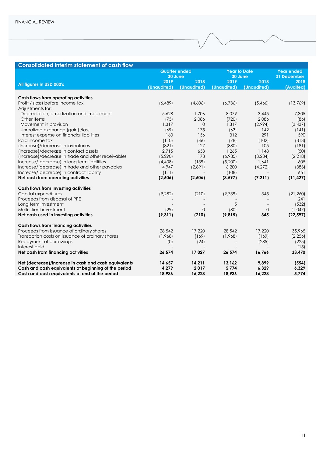| <b>Consolidated interim statement of cash flow</b>   |                      |             |             |                     |             |
|------------------------------------------------------|----------------------|-------------|-------------|---------------------|-------------|
|                                                      | <b>Quarter ended</b> |             |             | <b>Year to Date</b> | Year ended  |
|                                                      | 30 June              |             | 30 June     |                     | 31 December |
| All figures in USD 000's                             | 2019                 | 2018        | 2019        | 2018                | 2018        |
|                                                      | (Unaudited)          | (Unaudited) | (Unaudited) | (Unaudited)         | (Audited)   |
| Cash flows from operating activities                 |                      |             |             |                     |             |
| Profit / (loss) before income tax                    | (6, 489)             | (4,606)     | (6, 736)    | (5,466)             | (13,769)    |
| Adjustments for:                                     |                      |             |             |                     |             |
| Depreciation, amortization and impairment            | 5,628                | 1,706       | 8,079       | 3,445               | 7,305       |
| Other items                                          | (75)                 | 2,086       | (720)       | 2,086               | (86)        |
| Movement in provision                                | 1,317                | 0           | 1,317       | (2,994)             | (3, 437)    |
| Unrealized exchange (gain) /loss                     | (69)                 | 175         | (63)        | 142                 | (141)       |
| Interest expense on financial liabilities            | 160                  | 156         | 312         | 291                 | 590         |
| Paid income tax                                      | (110)                | (46)        | (78)        | (102)               | (313)       |
| (Increase)/decrease in inventories                   | (821)                | 127         | (880)       | 105                 | (181)       |
| (Increase)/decrease in contact assets                | 2,715                | 653         | 1,265       | 1,148               | (50)        |
| (Increase)/decrease in trade and other receivables   | (5, 290)             | 173         | (6,985)     | (3, 234)            | (2,218)     |
| Increase/(decrease) in long term liabilities         | (4, 408)             | (139)       | (5,200)     | 1,641               | 605         |
| Increase/(decrease) in trade and other payables      | 4,947                | (2,891)     | 6,200       | (4, 272)            | (383)       |
| Increase/(decrease) in contract liability            | (111)                |             | (108)       |                     | 651         |
| Net cash from operating activities                   | (2,606)              | (2,606)     | (3, 597)    | (7, 211)            | (11, 427)   |
| Cash flows from investing activities                 |                      |             |             |                     |             |
| Capital expenditures                                 | (9, 282)             | (210)       | (9,739)     | 345                 | (21, 260)   |
| Proceeds from disposal of PPE                        |                      |             |             |                     | 241         |
| Long term investment                                 |                      |             | 5           |                     | (532)       |
| Multi-client investment                              | (29)                 | $\mathbf 0$ | (80)        | 0                   | (1,047)     |
| Net cash used in investing activities                | (9,311)              | (210)       | (9,815)     | 345                 | (22, 597)   |
| Cash flows from financing activities                 |                      |             |             |                     |             |
| Proceeds from issuance of ordinary shares            | 28,542               | 17,220      | 28,542      | 17,220              | 35,965      |
| Transaction costs on issuance of ordinary shares     | (1,968)              | (169)       | (1,968)     | (169)               | (2, 256)    |
| Repayment of borrowings                              | (0)                  | (24)        |             | (285)               | (225)       |
| Interest paid                                        |                      |             |             |                     | (15)        |
| Net cash from financing activities                   | 26,574               | 17,027      | 26,574      | 16,766              | 33,470      |
| Net (decrease)/increase in cash and cash equivalents | 14,657               | 14,211      | 13,162      | 9,899               | (554)       |
| Cash and cash equivalents at beginning of the period | 4,279                | 2,017       | 5,774       | 6,329               | 6,329       |
| Cash and cash equivalents at end of the period       | 18,936               | 16,228      | 18,936      | 16,228              | 5,774       |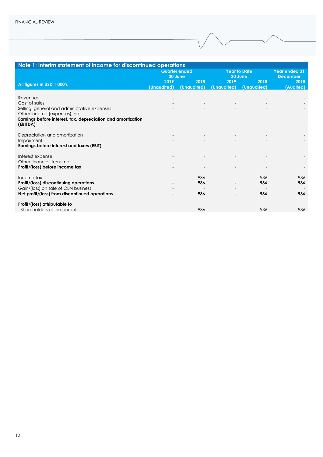| Note 1: Interim statement of income for discontinued operations |               |             |                     |               |                 |
|-----------------------------------------------------------------|---------------|-------------|---------------------|---------------|-----------------|
|                                                                 | Quarter ended |             | <b>Year to Date</b> | Year ended 31 |                 |
|                                                                 | 30 June       |             | 30 June             |               | <b>December</b> |
| All figures in USD 1 000's                                      | 2019          | 2018        | 2019                | 2018          | 2018            |
|                                                                 | (Unaudited)   | (Unaudited) | (Unaudited)         | (Unaudited)   | (Audited)       |
|                                                                 |               |             |                     |               |                 |
| Revenues                                                        |               |             |                     |               |                 |
| Cost of sales                                                   |               |             |                     |               |                 |
| Selling, general and administrative expenses                    |               |             |                     |               |                 |
| Other income (expenses), net                                    |               |             |                     |               |                 |
| Earnings before interest, tax, depreciation and amortization    |               |             |                     |               |                 |
| (EBITDA)                                                        |               |             |                     |               |                 |
| Depreciation and amortization                                   |               |             |                     |               |                 |
| Impairment                                                      |               |             |                     |               |                 |
| Earnings before interest and taxes (EBIT)                       |               |             |                     |               |                 |
|                                                                 |               |             |                     |               |                 |
| Interest expense                                                |               |             |                     |               |                 |
| Other financial items, net                                      |               |             |                     |               |                 |
| Profit/(loss) before income tax                                 |               |             |                     |               |                 |
|                                                                 |               |             |                     |               |                 |
| Income tax                                                      |               | 936         |                     | 936           | 936             |
| Profit/(loss) discontinuing operations                          |               | 936         |                     | 936           | 936             |
| Gain/(loss) on sale of OBN business                             |               |             |                     |               |                 |
| Net profit/(loss) from discontinued operations                  |               | 936         |                     | 936           | 936             |
|                                                                 |               |             |                     |               |                 |
| Profit/(loss) attributable to                                   |               |             |                     |               |                 |
| Shareholders of the parent                                      |               | 936         |                     | 936           | 936             |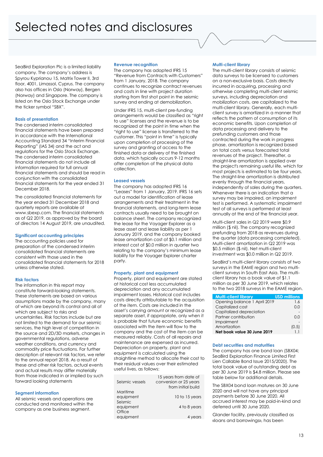SeaBird Exploration Plc is a limited liability company. The company's address is Spyrou Kyprianou 15, Matrix Tower II, 3rd floor, 4001, Limassol, Cyprus. The company also has offices in Oslo (Norway), Bergen (Norway) and Singapore. The company is listed on the Oslo Stock Exchange under the ticker symbol "SBX".

## **Basis of presentation**

The condensed interim consolidated financial statements have been prepared in accordance with the International Accounting Standard 34 "Interim Financial Reporting" (IAS 34) and the act and regulations for the Oslo Stock Exchange. The condensed interim consolidated financial statements do not include all information required for full annual financial statements and should be read in conjunction with the consolidated financial statements for the year ended 31 December 2018.

The consolidated financial statements for the year ended 31 December 2018 and quarterly reports are available at www.sbexp.com. The financial statements as of Q2 2019, as approved by the board of directors 14 August 2019, are unaudited.

## **Significant accounting principles**

The accounting policies used for preparation of the condensed interim consolidated financial statements are consistent with those used in the consolidated financial statements for 2018 unless otherwise stated.

# **Risk factors**

The information in this report may constitute forward-looking statements. These statements are based on various assumptions made by the company, many of which are beyond its control and all of which are subject to risks and uncertainties. Risk factors include but are not limited to the demand for our seismic services, the high level of competition in the source and 2D/3D markets, changes in governmental regulations, adverse weather conditions, and currency and commodity price fluctuations. For further description of relevant risk factors, we refer to the annual report 2018. As a result of these and other risk factors, actual events and actual results may differ materially from those indicated in or implied by such forward looking statements

## **Segment information**

All seismic vessels and operations are conducted and monitored within the company as one business segment.

#### **Revenue recognition**

The company has adopted IFRS 15 "Revenue from Contracts with Customers" from 1 January, 2018. The company continues to recognize contract revenues and costs in line with project duration starting from first shot point in the seismic survey and ending at demobilization.

Under IFRS 15, multi-client pre-funding arrangements would be classified as "right to use" licenses and the revenue is to be recognized at the point in time when the "right to use" license is transferred to the customer. This "point in time" is typically upon completion of processing of the survey and granting of access to the finished data or delivery of the finished data, which typically occurs 9-12 months after completion of the physical data collection.

## **Leased vessels**

The company has adopted IFRS 16 "Leases" from 1 January, 2019. IFRS 16 sets out a model for identification of lease arrangements and their treatment in the financial statements, and long-term lease contracts usually need to be brought on balance sheet. The company recognized the lease for the Voyager Explorer as a lease asset and lease liability as per 1 January 2019, and the company booked lease amortization cost of \$0.1 million and interest cost of \$0.0 million in quarter two relating to the company's minimum lease liability for the Voyager Explorer charter party.

## **Property, plant and equipment**

Property, plant and equipment are stated at historical cost less accumulated depreciation and any accumulated impairment losses. Historical cost includes costs directly attributable to the acquisition of the item. Costs are included in the asset's carrying amount or recognized as a separate asset, if appropriate, only when it is probable that future economic benefits associated with the item will flow to the company and the cost of the item can be measured reliably. Costs of all repairs and maintenance are expensed as incurred. Depreciation on property, plant and equipment is calculated using the straightline method to allocate their cost to their residual values over their estimated useful lives, as follows:

| Seismic vessels                  | 15 years from date of<br>conversion or 25 years<br>from initial build |
|----------------------------------|-----------------------------------------------------------------------|
| Maritime<br>equipment<br>Seismic | $10$ to $15$ years                                                    |
| equipment<br>Office              | 4 to 8 years                                                          |
| equipment                        | 4 years                                                               |

# **Multi-client library**

The multi-client library consists of seismic data surveys to be licensed to customers on a non-exclusive basis. Costs directly incurred in acquiring, processing and otherwise completing multi-client seismic surveys, including depreciation and mobilization costs, are capitalized to the multi-client library. Generally, each multiclient survey is amortized in a manner that reflects the pattern of consumption of its economic benefits. Upon completion of data processing and delivery to the prefunding customers and those contracted during the work in progress phase, amortization is recognized based on total costs versus forecasted total revenues of the project. Thereafter, a straight-line amortization is applied over the project's remaining useful life, which for most projects is estimated to be four years. The straight-line amortization is distributed evenly through the financial years, independently of sales during the quarters. Whenever there is an indication that a survey may be impaired, an impairment test is performed. A systematic impairment test of all surveys is performed at least annually at the end of the financial year.

Multi-client sales in Q2 2019 were \$0.9 million (\$ nil). The company recognized prefunding from 2018 as revenues during the quarter (data processing completed). Multi-client amortization in Q2 2019 was \$0.5 million (\$ nil). Net multi-client investment was \$0.0 million in Q2 2019.

SeaBird's multi-client library consists of two surveys in the EAME region and two multiclient surveys in South East Asia. The multiclient library has a book value of \$1.1 million as per 30 June 2019, which relates to the two 2018 surveys in the EAME region.

| <b>Multi-client library</b>  | <b>USD millions</b> |
|------------------------------|---------------------|
| Opening balance 1 April 2019 | 1.6                 |
| Capitalized cost             | 0.0                 |
| Capitalized depreciation     |                     |
| Partner contribution         | O.O                 |
| Impairment                   |                     |
| Amortization                 | (0.5)               |
| Net book value 30 June 2019  | 1 <sub>1</sub>      |

## **Debt securities and maturities**

The company has one bond loan (SBX04; SeaBird Exploration Finance Limited First Lien Callable Bond Issue 2015/2020). The total book value of outstanding debt as per 30 June 2019 is \$4.8 million. Please see table below for additional details.

The SBX04 bond loan matures on 30 June 2020 and will not have any principal payments before 30 June 2020. All accrued interest may be paid-in-kind and deferred until 30 June 2020.

Glander facility, previously classified as «loans and borrowings», has been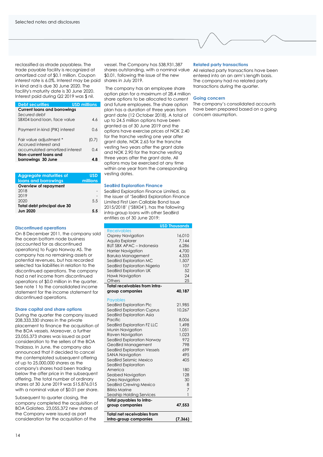reclassified as «trade payables». The trade payable facility is recognized at amortized cost of \$0.1 million. Coupon interest rate is 6.0%. Interest may be paid shares in July 2019. in kind and is due 30 June 2020. The facility's maturity date is 30 June 2020. Interest paid during Q2 2019 was \$ nil.

| <b>Debt securities</b>                                    | <b>USD millions</b> |
|-----------------------------------------------------------|---------------------|
| <b>Current loans and borrowings</b><br>Secured debt       |                     |
| SBX04 bond loan, face value                               | 46                  |
| Payment in kind (PIK) interest<br>Fair value adjustment * | 0.6<br>(0.7)        |
| Accrued interest and<br>accumulated amortized interest    | 0.4                 |
| Non-current loans and<br>borrowings 30 June               |                     |

| <b>Aggregate maturities of</b> | <b>USD</b> |
|--------------------------------|------------|
| loans and borrowings           | millions   |
| Overview of repayment          |            |
| 2018                           |            |
| 2019                           |            |
| 2020                           | 5.5        |
| Total debt principal due 30    |            |
| <b>Jun 2020</b>                | 55         |

#### **Discontinued operations**

On 8 December 2011, the company sold the ocean bottom node business (accounted for as discontinued operations) to Fugro Norway AS. The company has no remaining assets or potential revenues, but has recorded selected tax liabilities in relation to the discontinued operations. The company had a net income from discontinued operations of \$0.0 million in the quarter. See note 1 to the consolidated income statement for the income statement for discontinued operations.

#### **Share capital and share options**

During the quarter the company issued 208,333,330 shares in the private placement to finance the acquisition of the BOA vessels. Moreover, a further 23,055,373 shares was issued as part consideration to the sellers of the BOA Thalassa. In June, the company also announced that it decided to cancel the contemplated subsequent offering of up to 25,000,000 shares as the company's shares had been trading below the offer price in the subsequent offering. The total number of ordinary shares at 30 June 2019 was 515,876,015 with a nominal value of \$0.01 per share.

Subsequent to quarter closing, the company completed the acquisition of BOA Galatea. 23,055,372 new shares of the Company were issued as part consideration for the acquisition of the

vessel. The Company has 538,931,387 shares outstanding, with a nominal value \$0.01, following the issue of the new

The company has an employee share option plan for a maximum of 28.4 million share options to be allocated to current and future employees. The share option plan has a duration of three years from grant date (12 October 2018). A total of up to 24.5 million options have been granted as of 30 June 2019 and the options have exercise prices of NOK 2.40 for the tranche vesting one year after grant date, NOK 2.65 for the tranche vesting two years after the grant date and NOK 2.90 for the tranche vesting three years after the grant date. All options may be exercised at any time within one year from the corresponding vesting dates.

#### **SeaBird Exploration Finance**

SeaBird Exploration Finance Limited, as the issuer of 'SeaBird Exploration Finance Limited First Lien Callable Bond Issue 2015/2018' ('SBX04'), has the following intra-group loans with other SeaBird entities as of 30 June 2019:

|                                                                                                                                                                                                                                                                                                                                                            | <b>USD Thousands</b>                                                                    |
|------------------------------------------------------------------------------------------------------------------------------------------------------------------------------------------------------------------------------------------------------------------------------------------------------------------------------------------------------------|-----------------------------------------------------------------------------------------|
| <b>Receivables</b><br><b>Osprey Navigation</b><br>Aquila Explorer<br><b>BUT SBX APAC - Indonesia</b><br><b>Harrier Navigation</b><br><b>Baruka Management</b><br>SeaBird Exploration MC<br>SeaBird Exploration Nigeria<br>SeaBird Exploration UK<br><b>Hawk Navigation</b><br>Others                                                                       | 16,010<br>7,144<br>6.286<br>4.700<br>4.333<br>1,507<br>107<br>52<br>24<br>25            |
| Total receivables from intra-                                                                                                                                                                                                                                                                                                                              |                                                                                         |
| group companies                                                                                                                                                                                                                                                                                                                                            | 40,187                                                                                  |
| <b>Payables</b><br>SeaBird Exploration Plc<br>SeaBird Exploration Cyprus<br>SeaBird Exploration Asia<br>Pacific<br>SeaBird Exploration FZ LLC<br>Munin Navigation<br><b>Raven Navigation</b><br>SeaBird Exploration Norway<br>GeoBird Management<br>SeaBird Exploration Vessels<br><b>SANA Navigation</b><br>SeaBird Seismic Mexico<br>SeaBird Exploration | 21,985<br>10.267<br>8,006<br>1.498<br>1,051<br>1.023<br>972<br>798<br>699<br>495<br>405 |
| America<br>Seabed Navigation<br>Oreo Navigation<br>SeaBird Crewing Mexico<br><b>Biliria Marine</b><br>Seaship Holding Services                                                                                                                                                                                                                             | 180<br>128<br>30<br>8<br>7<br>1                                                         |
| Total payables to intra-                                                                                                                                                                                                                                                                                                                                   |                                                                                         |
| group companies                                                                                                                                                                                                                                                                                                                                            | 47.553                                                                                  |
| <b>Total net receivables from</b>                                                                                                                                                                                                                                                                                                                          |                                                                                         |
| <u>intra-group companies</u>                                                                                                                                                                                                                                                                                                                               | (7, 366)                                                                                |

#### **Related party transactions**

All related party transactions have been entered into on an arm's length basis. The company had no related party transactions during the quarter.

#### **Going concern**

The company's consolidated accounts have been prepared based on a going concern assumption.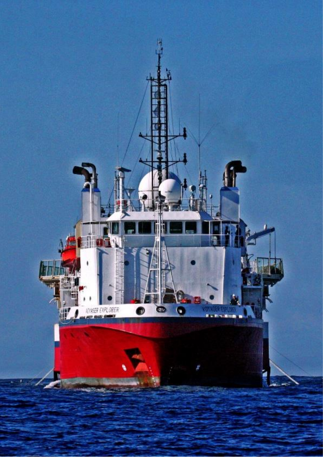